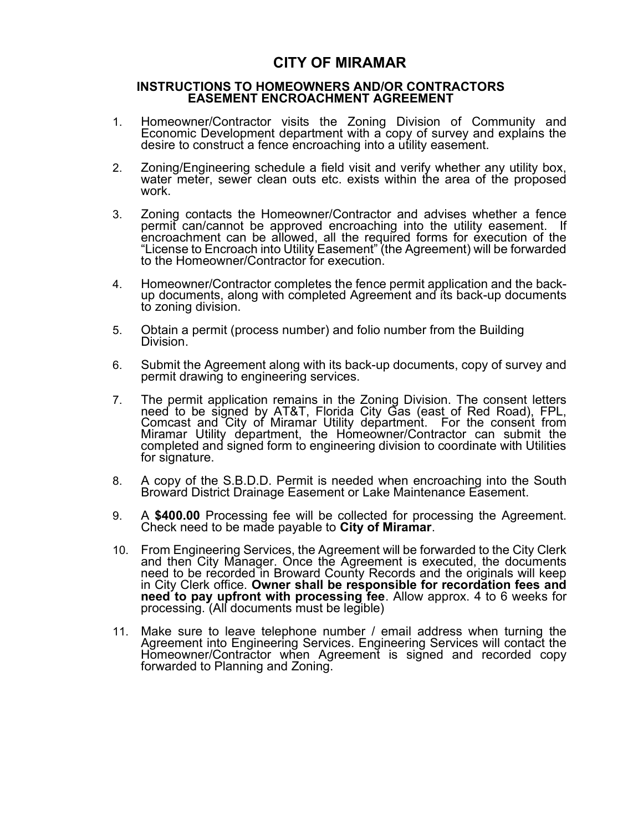## CITY OF MIRAMAR

#### INSTRUCTIONS TO HOMEOWNERS AND/OR CONTRACTORS EASEMENT ENCROACHMENT AGREEMENT

- 1. Homeowner/Contractor visits the Zoning Division of Community and Economic Development department with a copy of survey and explains the desire to construct a fence encroaching into a utility easement.
- work. 2. Zoning/Engineering schedule a field visit and verify whether any utility box, water meter, sewer clean outs etc. exists within the area of the proposed
- 3. Zoning contacts the Homeowner/Contractor and advises whether a fence permit can/cannot be approved encroaching into the utility easement. If encroachment can be allowed, all the required forms for execution of the "License to Encroach into Utility Easement" (the Agreement) will be forwarded to the Homeowner/Contractor for execution.
- 4. Homeowner/Contractor completes the fence permit application and the backup documents, along with completed Agreement and its back-up documents to zoning division.
- Division. 5. Obtain a permit (process number) and folio number from the Building.
- 6. Submit the Agreement along with its back-up documents, copy of survey and permit drawing to engineering services.
- need to be signed by AT&T, Florida City Gas (east of Red Road), FPL, 7. The permit application remains in the Zoning Division. The consent letters Comcast and City of Miramar Utility department. For the consent from Miramar Utility department, the Homeowner/Contractor can submit the completed and signed form to engineering division to coordinate with Utilities for signature.
- 8. A copy of the S.B.D.D. Permit is needed when encroaching into the South Broward District Drainage Easement or Lake Maintenance Easement.
- 9. A \$400.00 Processing fee will be collected for processing the Agreement.<br>Check need to be made payable to City of Miramar.
- 10. From Engineering Services, the Agreement will be forwarded to the City Clerk and then City Manager. Once the Agreement is executed, the documents need to be recorded in Broward County Records and the originals will keep in City Clerk office. Owner shall be responsible for recordation fees and need to pay upfront with processing fee. Allow approx. 4 to 6 weeks for processing. (All documents must be legible)
- 11. Make sure to leave telephone number / email address when turning the Agreement into Engineering Services. Engineering Services will contact the Homeowner/Contractor when Agreement is signed and recorded copy forwarded to Planning and Zoning.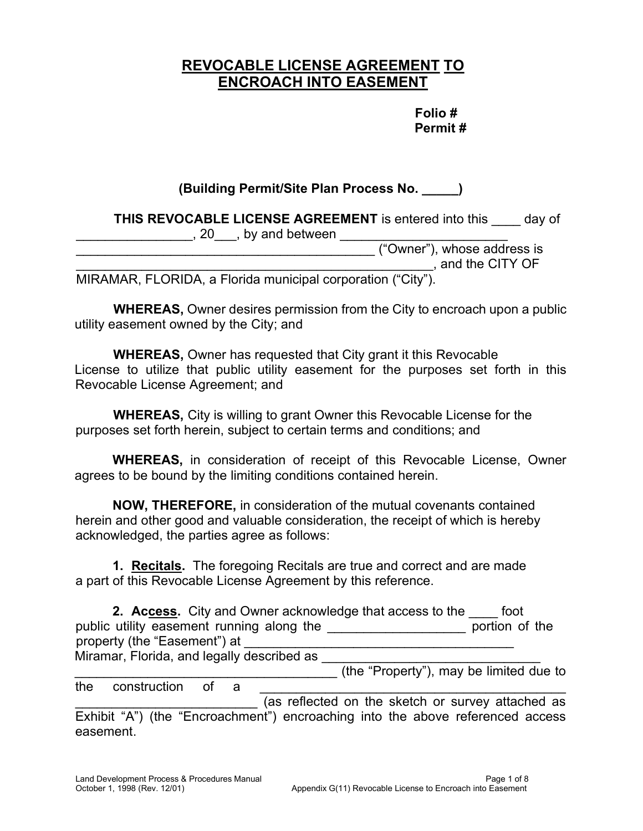# REVOCABLE LICENSE AGREEMENT TO ENCROACH INTO EASEMENT

### Folio # Permit #

#### (Building Permit/Site Plan Process No. \_\_\_\_\_) THIS REVOCABLE LICENSE AGREEMENT is entered into this equal of discover and between  $\sim$  . The same  $(20 \ldots, 20 \ldots, 6)$  by and between  $\sim$ ("Owner"), whose address is , and the CITY OF  $\mathcal{L}_\text{max}$  , and the set of the set of the set of the set of the set of the set of the set of the set of the set of the set of the set of the set of the set of the set of the set of the set of the set of the set of the \_\_\_\_\_\_\_\_\_\_\_\_\_\_\_\_\_\_\_\_\_\_\_\_\_\_\_\_\_\_\_\_\_\_\_\_\_\_\_\_\_\_\_\_\_\_\_\_\_

MIRAMAR, FLORIDA, a Florida municipal corporation ("City").

WHEREAS, Owner desires permission from the City to encroach upon a public utility easement owned by the City; and

WHEREAS, Owner has requested that City grant it this Revocable License to utilize that public utility easement for the purposes set forth in this Revocable License Agreement; and

WHEREAS, City is willing to grant Owner this Revocable License for the purposes set forth herein, subject to certain terms and conditions; and

WHEREAS, in consideration of receipt of this Revocable License, Owner agrees to be bound by the limiting conditions contained herein.

NOW, THEREFORE, in consideration of the mutual covenants contained herein and other good and valuable consideration, the receipt of which is hereby acknowledged, the parties agree as follows:

**1. Recitals.** The foregoing Recitals are true and correct and are made a part of this Revocable License Agreement by this reference.

| 2. Access. City and Owner acknowledge that access to the | foot           |
|----------------------------------------------------------|----------------|
| public utility easement running along the                | portion of the |
| property (the "Easement") at                             |                |
| Miramar, Florida, and legally described as               |                |

\_\_\_\_\_\_\_\_\_\_\_\_\_\_\_\_\_\_\_\_\_\_\_\_\_\_\_\_\_\_\_\_\_\_\_\_ (the "Property"), may be limited due to

the construction of a (as reflected on the sketch or survey attached as Exhibit "A") (the "Encroachment") encroaching into the above referenced access easement.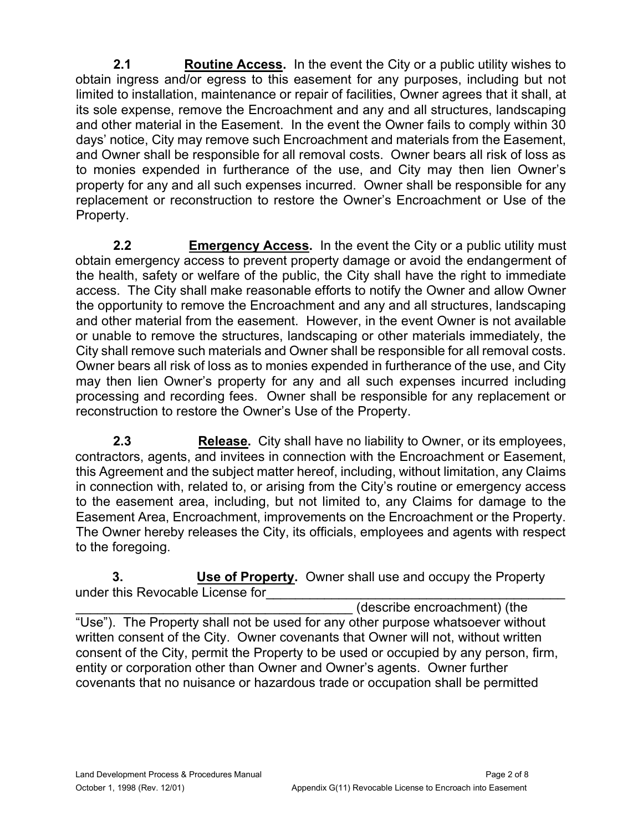$2.1$ **Routine Access.** In the event the City or a public utility wishes to obtain ingress and/or egress to this easement for any purposes, including but not limited to installation, maintenance or repair of facilities, Owner agrees that it shall, at its sole expense, remove the Encroachment and any and all structures, landscaping and other material in the Easement. In the event the Owner fails to comply within 30 days' notice, City may remove such Encroachment and materials from the Easement, and Owner shall be responsible for all removal costs. Owner bears all risk of loss as to monies expended in furtherance of the use, and City may then lien Owner's property for any and all such expenses incurred. Owner shall be responsible for any replacement or reconstruction to restore the Owner's Encroachment or Use of the Property.

 $2.2<sub>2</sub>$ **Emergency Access.** In the event the City or a public utility must obtain emergency access to prevent property damage or avoid the endangerment of the health, safety or welfare of the public, the City shall have the right to immediate access. The City shall make reasonable efforts to notify the Owner and allow Owner the opportunity to remove the Encroachment and any and all structures, landscaping and other material from the easement. However, in the event Owner is not available or unable to remove the structures, landscaping or other materials immediately, the City shall remove such materials and Owner shall be responsible for all removal costs. Owner bears all risk of loss as to monies expended in furtherance of the use, and City may then lien Owner's property for any and all such expenses incurred including processing and recording fees. Owner shall be responsible for any replacement or reconstruction to restore the Owner's Use of the Property.

 $2.3$  Easement Area, Encroachment, improvements on the Encroachment or the Property. **Release.** City shall have no liability to Owner, or its employees, contractors, agents, and invitees in connection with the Encroachment or Easement, this Agreement and the subject matter hereof, including, without limitation, any Claims in connection with, related to, or arising from the City's routine or emergency access to the easement area, including, but not limited to, any Claims for damage to the The Owner hereby releases the City, its officials, employees and agents with respect to the foregoing.

 $3.$ Use of Property. Owner shall use and occupy the Property under this Revocable License for

 \_\_\_\_\_\_\_\_\_\_\_\_\_\_\_\_\_\_\_\_\_\_\_\_\_\_\_\_\_\_\_\_\_\_\_\_\_\_ (describe encroachment) (the "Use"). The Property shall not be used for any other purpose whatsoever without written consent of the City. Owner covenants that Owner will not, without written consent of the City, permit the Property to be used or occupied by any person, firm, entity or corporation other than Owner and Owner's agents. Owner further covenants that no nuisance or hazardous trade or occupation shall be permitted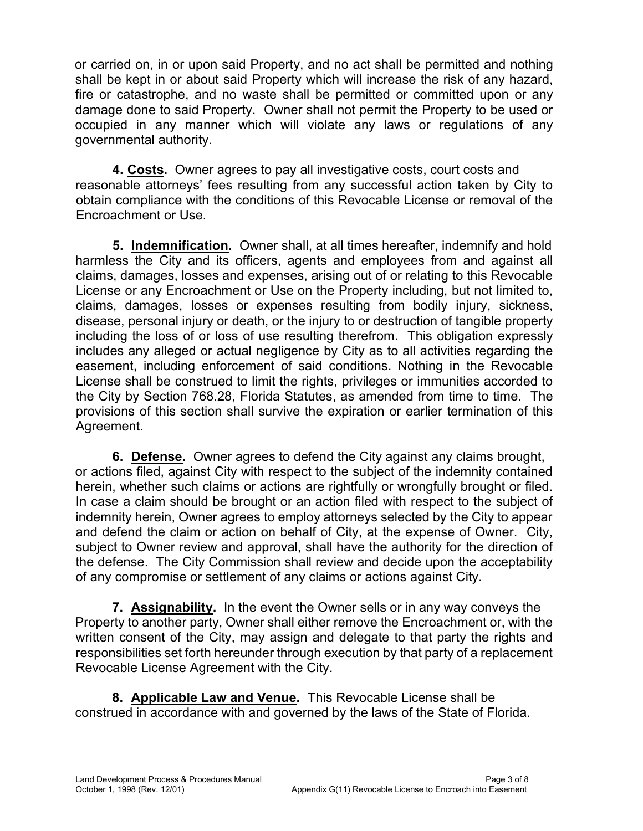or carried on, in or upon said Property, and no act shall be permitted and nothing shall be kept in or about said Property which will increase the risk of any hazard, fire or catastrophe, and no waste shall be permitted or committed upon or any damage done to said Property. Owner shall not permit the Property to be used or occupied in any manner which will violate any laws or regulations of any governmental authority.

4. Costs. Owner agrees to pay all investigative costs, court costs and reasonable attorneys' fees resulting from any successful action taken by City to obtain compliance with the conditions of this Revocable License or removal of the Encroachment or Use.

5. Indemnification. Owner shall, at all times hereafter, indemnify and hold harmless the City and its officers, agents and employees from and against all claims, damages, losses and expenses, arising out of or relating to this Revocable License or any Encroachment or Use on the Property including, but not limited to, claims, damages, losses or expenses resulting from bodily injury, sickness, disease, personal injury or death, or the injury to or destruction of tangible property including the loss of or loss of use resulting therefrom. This obligation expressly includes any alleged or actual negligence by City as to all activities regarding the easement, including enforcement of said conditions. Nothing in the Revocable License shall be construed to limit the rights, privileges or immunities accorded to the City by Section 768.28, Florida Statutes, as amended from time to time. The provisions of this section shall survive the expiration or earlier termination of this Agreement.

6. Defense. Owner agrees to defend the City against any claims brought, or actions filed, against City with respect to the subject of the indemnity contained herein, whether such claims or actions are rightfully or wrongfully brought or filed. In case a claim should be brought or an action filed with respect to the subject of indemnity herein, Owner agrees to employ attorneys selected by the City to appear and defend the claim or action on behalf of City, at the expense of Owner. City, subject to Owner review and approval, shall have the authority for the direction of the defense. The City Commission shall review and decide upon the acceptability of any compromise or settlement of any claims or actions against City.

7. Assignability. In the event the Owner sells or in any way conveys the Property to another party, Owner shall either remove the Encroachment or, with the written consent of the City, may assign and delegate to that party the rights and responsibilities set forth hereunder through execution by that party of a replacement Revocable License Agreement with the City.

8. Applicable Law and Venue. This Revocable License shall be construed in accordance with and governed by the laws of the State of Florida.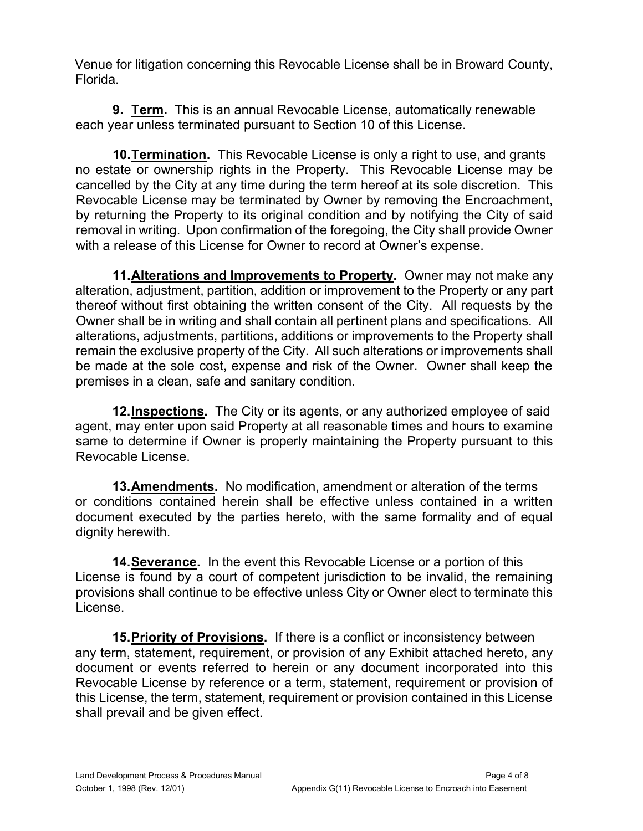Venue for litigation concerning this Revocable License shall be in Broward County, Florida.

**9. <u>Term</u>.** This is an annual Revocable License, automatically renewable each year unless terminated pursuant to Section 10 of this License.

10. Termination. This Revocable License is only a right to use, and grants no estate or ownership rights in the Property. This Revocable License may be cancelled by the City at any time during the term hereof at its sole discretion. This Revocable License may be terminated by Owner by removing the Encroachment, by returning the Property to its original condition and by notifying the City of said removal in writing. Upon confirmation of the foregoing, the City shall provide Owner with a release of this License for Owner to record at Owner's expense.

11. Alterations and Improvements to Property. Owner may not make any alteration, adjustment, partition, addition or improvement to the Property or any part thereof without first obtaining the written consent of the City. All requests by the Owner shall be in writing and shall contain all pertinent plans and specifications. All alterations, adjustments, partitions, additions or improvements to the Property shall remain the exclusive property of the City. All such alterations or improvements shall be made at the sole cost, expense and risk of the Owner. Owner shall keep the premises in a clean, safe and sanitary condition.

12. Inspections. The City or its agents, or any authorized employee of said agent, may enter upon said Property at all reasonable times and hours to examine same to determine if Owner is properly maintaining the Property pursuant to this Revocable License.

13. Amendments. No modification, amendment or alteration of the terms or conditions contained herein shall be effective unless contained in a written document executed by the parties hereto, with the same formality and of equal dignity herewith.

14. Severance. In the event this Revocable License or a portion of this License is found by a court of competent jurisdiction to be invalid, the remaining provisions shall continue to be effective unless City or Owner elect to terminate this License.

15. Priority of Provisions. If there is a conflict or inconsistency between any term, statement, requirement, or provision of any Exhibit attached hereto, any document or events referred to herein or any document incorporated into this Revocable License by reference or a term, statement, requirement or provision of this License, the term, statement, requirement or provision contained in this License shall prevail and be given effect.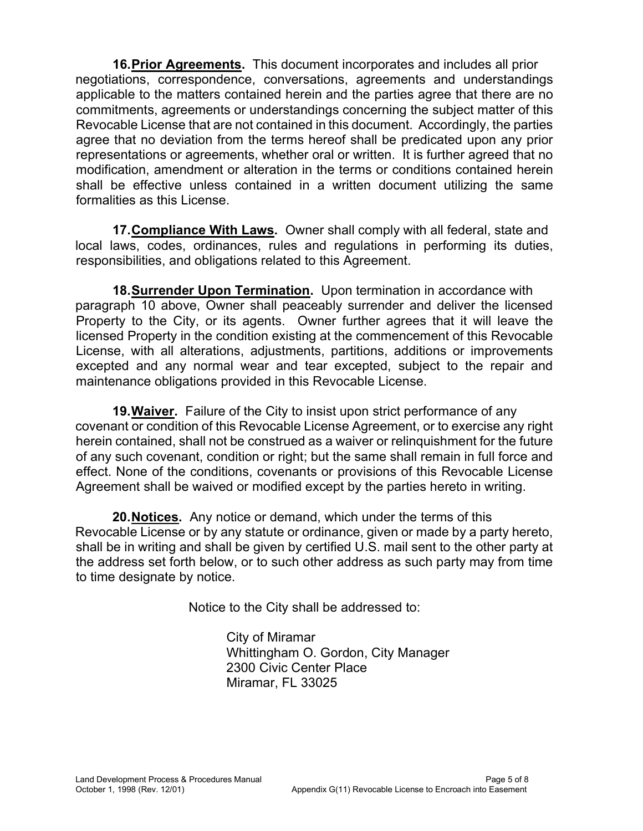16. Prior Agreements. This document incorporates and includes all prior negotiations, correspondence, conversations, agreements and understandings applicable to the matters contained herein and the parties agree that there are no commitments, agreements or understandings concerning the subject matter of this Revocable License that are not contained in this document. Accordingly, the parties agree that no deviation from the terms hereof shall be predicated upon any prior representations or agreements, whether oral or written. It is further agreed that no modification, amendment or alteration in the terms or conditions contained herein shall be effective unless contained in a written document utilizing the same formalities as this License.

17. Compliance With Laws. Owner shall comply with all federal, state and local laws, codes, ordinances, rules and regulations in performing its duties, responsibilities, and obligations related to this Agreement.

18. **Surrender Upon Termination.** Upon termination in accordance with paragraph 10 above, Owner shall peaceably surrender and deliver the licensed Property to the City, or its agents. Owner further agrees that it will leave the licensed Property in the condition existing at the commencement of this Revocable License, with all alterations, adjustments, partitions, additions or improvements excepted and any normal wear and tear excepted, subject to the repair and maintenance obligations provided in this Revocable License.

19. Waiver. Failure of the City to insist upon strict performance of any covenant or condition of this Revocable License Agreement, or to exercise any right herein contained, shall not be construed as a waiver or relinquishment for the future of any such covenant, condition or right; but the same shall remain in full force and effect. None of the conditions, covenants or provisions of this Revocable License Agreement shall be waived or modified except by the parties hereto in writing.

20. Notices. Any notice or demand, which under the terms of this Revocable License or by any statute or ordinance, given or made by a party hereto, shall be in writing and shall be given by certified U.S. mail sent to the other party at the address set forth below, or to such other address as such party may from time to time designate by notice.

Notice to the City shall be addressed to:

 City of Miramar 2300 Civic Center Place Miramar, FL 33025 Whittingham O. Gordon, City Manager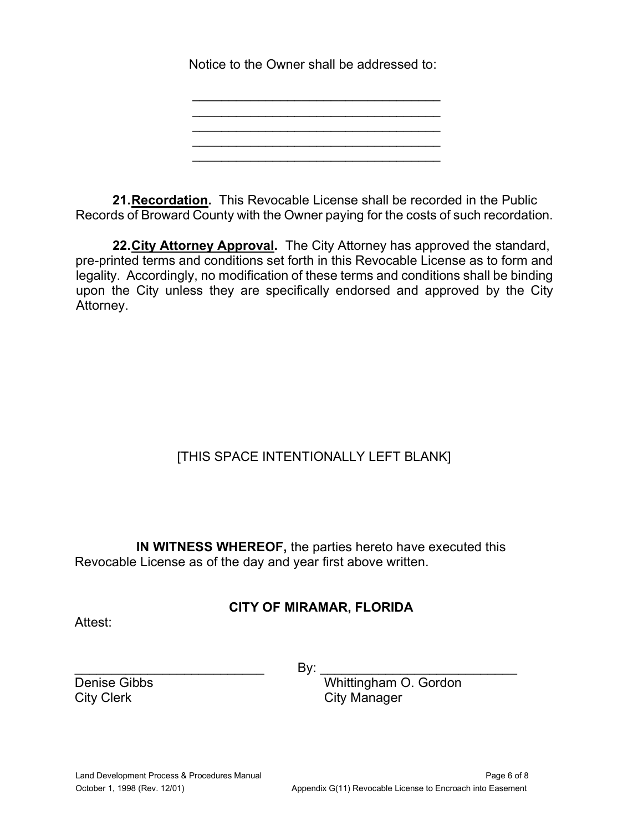Notice to the Owner shall be addressed to:

 $\mathcal{L}_\text{max}$  and  $\mathcal{L}_\text{max}$  and  $\mathcal{L}_\text{max}$  and  $\mathcal{L}_\text{max}$ 

\_\_\_\_\_\_\_\_\_\_\_\_\_\_\_\_\_\_\_\_\_\_\_\_\_\_\_\_\_\_\_\_\_\_ \_\_\_\_\_\_\_\_\_\_\_\_\_\_\_\_\_\_\_\_\_\_\_\_\_\_\_\_\_\_\_\_\_\_  $\overline{\phantom{a}}$  , and the set of the set of the set of the set of the set of the set of the set of the set of the set of the set of the set of the set of the set of the set of the set of the set of the set of the set of the s  $\overline{\phantom{a}}$  , and the set of the set of the set of the set of the set of the set of the set of the set of the set of the set of the set of the set of the set of the set of the set of the set of the set of the set of the s

21.Recordation. This Revocable License shall be recorded in the Public Records of Broward County with the Owner paying for the costs of such recordation.

22. City Attorney Approval. The City Attorney has approved the standard, pre-printed terms and conditions set forth in this Revocable License as to form and legality. Accordingly, no modification of these terms and conditions shall be binding upon the City unless they are specifically endorsed and approved by the City Attorney.

# [THIS SPACE INTENTIONALLY LEFT BLANK]

 Revocable License as of the day and year first above written. IN WITNESS WHEREOF, the parties hereto have executed this

## CITY OF MIRAMAR, FLORIDA

Attest:

\_\_\_\_\_\_\_\_\_\_\_\_\_\_\_\_\_\_\_\_\_\_\_\_\_\_ By: \_\_\_\_\_\_\_\_\_\_\_\_\_\_\_\_\_\_\_\_\_\_\_\_\_\_\_

Denise Gibbs

 Whittingham O. Gordon City Clerk City Manager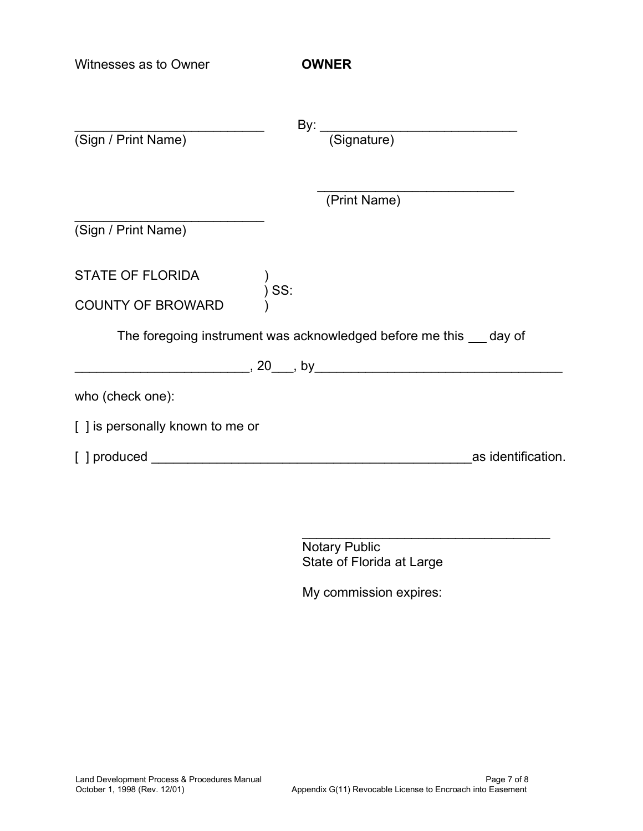| Witnesses as to Owner                               | <b>OWNER</b>                                                        |                    |
|-----------------------------------------------------|---------------------------------------------------------------------|--------------------|
| (Sign / Print Name)                                 | By: (Signature)                                                     |                    |
|                                                     | (Print Name)                                                        |                    |
| (Sign / Print Name)                                 |                                                                     |                    |
| <b>STATE OF FLORIDA</b><br><b>COUNTY OF BROWARD</b> | $\int$ <sub>2</sub> SS:                                             |                    |
|                                                     | The foregoing instrument was acknowledged before me this sumpley of |                    |
|                                                     |                                                                     |                    |
| who (check one):                                    |                                                                     |                    |
| [] is personally known to me or                     |                                                                     |                    |
|                                                     |                                                                     | as identification. |

Notary Public State of Florida at Large

\_\_\_\_\_\_\_\_\_\_\_\_\_\_\_\_\_\_\_\_\_\_\_\_\_\_\_\_\_\_\_\_\_\_

My commission expires: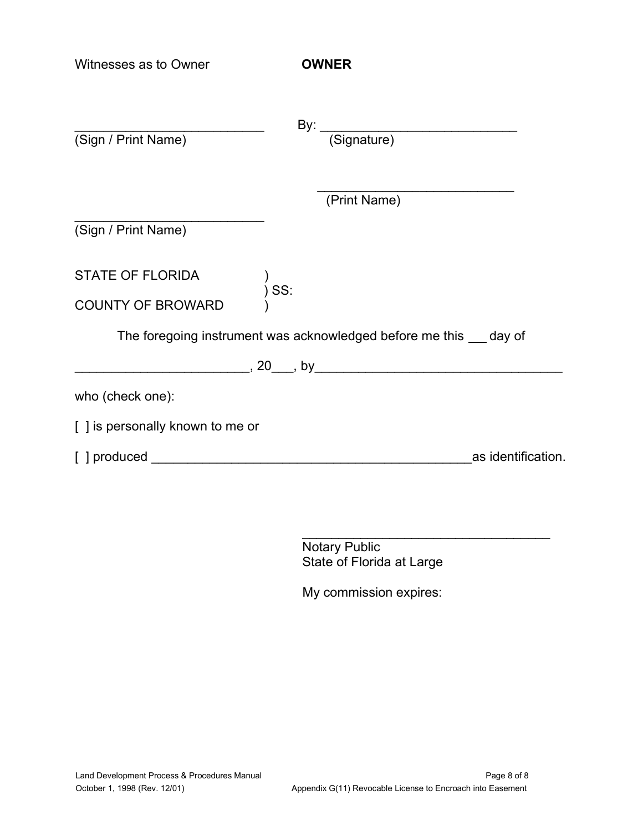| Witnesses as to Owner           | <b>OWNER</b>                                                        |                    |
|---------------------------------|---------------------------------------------------------------------|--------------------|
| (Sign / Print Name)             | By: <u>(Signature)</u>                                              |                    |
|                                 | (Print Name)                                                        |                    |
| (Sign / Print Name)             |                                                                     |                    |
| <b>STATE OF FLORIDA</b>         | $\int\limits_{1}^{1} SS$                                            |                    |
| <b>COUNTY OF BROWARD</b>        |                                                                     |                    |
|                                 | The foregoing instrument was acknowledged before me this sumpley of |                    |
|                                 |                                                                     |                    |
| who (check one):                |                                                                     |                    |
| [] is personally known to me or |                                                                     |                    |
|                                 |                                                                     | as identification. |

 State of Florida at Large Notary Public

\_\_\_\_\_\_\_\_\_\_\_\_\_\_\_\_\_\_\_\_\_\_\_\_\_\_\_\_\_\_\_\_\_\_

My commission expires: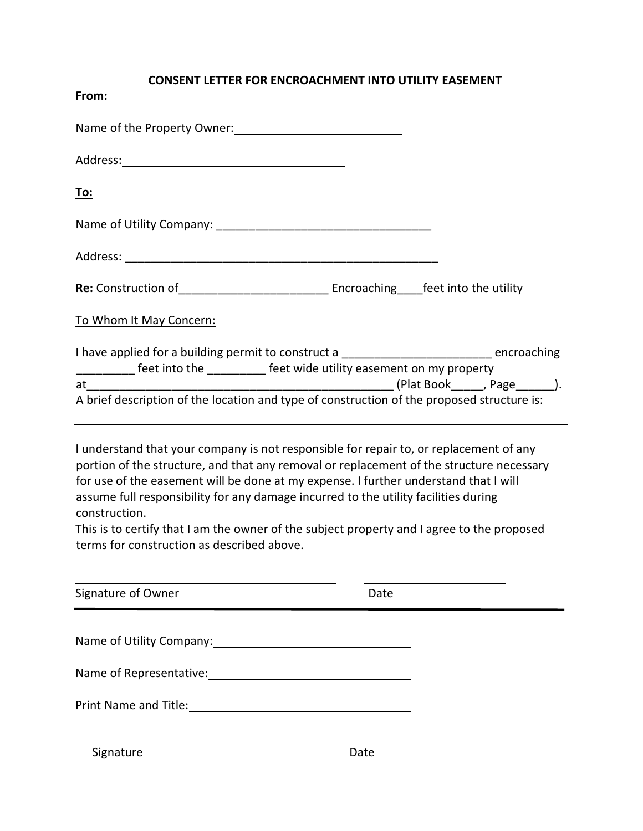#### CONSENT LETTER FOR ENCROACHMENT INTO UTILITY EASEMENT

| í |
|---|
|   |

| <u>To:</u>                                                                                                                                                                   |  |
|------------------------------------------------------------------------------------------------------------------------------------------------------------------------------|--|
|                                                                                                                                                                              |  |
|                                                                                                                                                                              |  |
|                                                                                                                                                                              |  |
| To Whom It May Concern:                                                                                                                                                      |  |
| I have applied for a building permit to construct a ___________________________ encroaching<br>__________ feet into the __________ feet wide utility easement on my property |  |
|                                                                                                                                                                              |  |
| A brief description of the location and type of construction of the proposed structure is:                                                                                   |  |

 I understand that your company is not responsible for repair to, or replacement of any portion of the structure, and that any removal or replacement of the structure necessary for use of the easement will be done at my expense. I further understand that I will assume full responsibility for any damage incurred to the utility facilities during construction.

This is to certify that I am the owner of the subject property and I agree to the proposed terms for construction as described above.

| Signature of Owner            | Date |  |
|-------------------------------|------|--|
| Name of Utility Company: 1997 |      |  |
|                               |      |  |
|                               |      |  |
| Signature                     | Date |  |